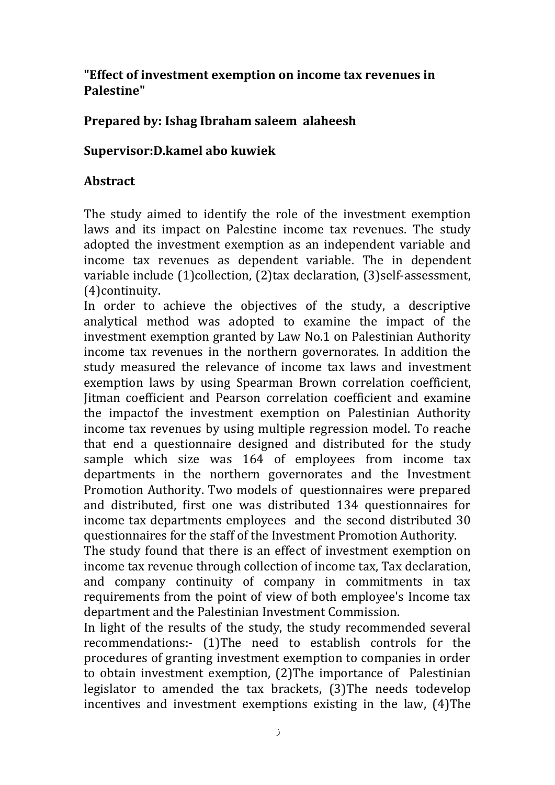## **"Effect of investment exemption on income tax revenues in Palestine"**

## **Prepared by: Ishag Ibraham saleem alaheesh**

## **Supervisor:D.kamel abo kuwiek**

## **Abstract**

The study aimed to identify the role of the investment exemption laws and its impact on Palestine income tax revenues. The study adopted the investment exemption as an independent variable and income tax revenues as dependent variable. The in dependent variable include (1)collection, (2)tax declaration, (3)self-assessment, (4)continuity.

In order to achieve the objectives of the study, a descriptive analytical method was adopted to examine the impact of the investment exemption granted by Law No.1 on Palestinian Authority income tax revenues in the northern governorates. In addition the study measured the relevance of income tax laws and investment exemption laws by using Spearman Brown correlation coefficient, Jitman coefficient and Pearson correlation coefficient and examine the impactof the investment exemption on Palestinian Authority income tax revenues by using multiple regression model. To reache that end a questionnaire designed and distributed for the study sample which size was 164 of employees from income tax departments in the northern governorates and the Investment Promotion Authority. Two models of questionnaires were prepared and distributed, first one was distributed 134 questionnaires for income tax departments employees and the second distributed 30 questionnaires for the staff of the Investment Promotion Authority.

The study found that there is an effect of investment exemption on income tax revenue through collection of income tax, Tax declaration, and company continuity of company in commitments in tax requirements from the point of view of both employee's Income tax department and the Palestinian Investment Commission.

In light of the results of the study, the study recommended several recommendations:- (1)The need to establish controls for the procedures of granting investment exemption to companies in order to obtain investment exemption, (2)The importance of Palestinian legislator to amended the tax brackets, (3)The needs todevelop incentives and investment exemptions existing in the law, (4)The